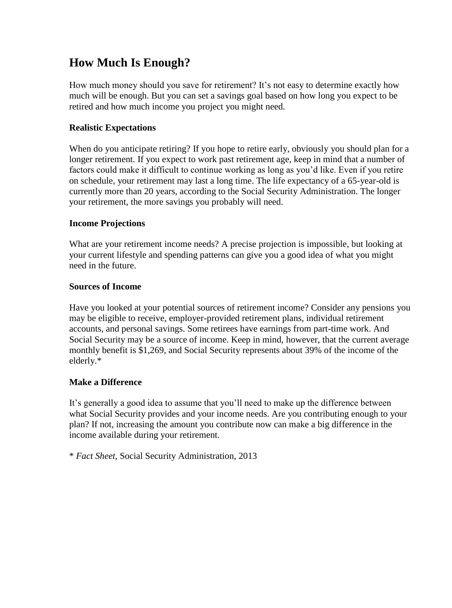# **How Much Is Enough?**

How much money should you save for retirement? It's not easy to determine exactly how much will be enough. But you can set a savings goal based on how long you expect to be retired and how much income you project you might need.

## **Realistic Expectations**

When do you anticipate retiring? If you hope to retire early, obviously you should plan for a longer retirement. If you expect to work past retirement age, keep in mind that a number of factors could make it difficult to continue working as long as you'd like. Even if you retire on schedule, your retirement may last a long time. The life expectancy of a 65-year-old is currently more than 20 years, according to the Social Security Administration. The longer your retirement, the more savings you probably will need.

### **Income Projections**

What are your retirement income needs? A precise projection is impossible, but looking at your current lifestyle and spending patterns can give you a good idea of what you might need in the future.

### **Sources of Income**

Have you looked at your potential sources of retirement income? Consider any pensions you may be eligible to receive, employer-provided retirement plans, individual retirement accounts, and personal savings. Some retirees have earnings from part-time work. And Social Security may be a source of income. Keep in mind, however, that the current average monthly benefit is \$1,269, and Social Security represents about 39% of the income of the elderly.\*

### **Make a Difference**

It's generally a good idea to assume that you'll need to make up the difference between what Social Security provides and your income needs. Are you contributing enough to your plan? If not, increasing the amount you contribute now can make a big difference in the income available during your retirement.

\* *Fact Sheet*, Social Security Administration, 2013